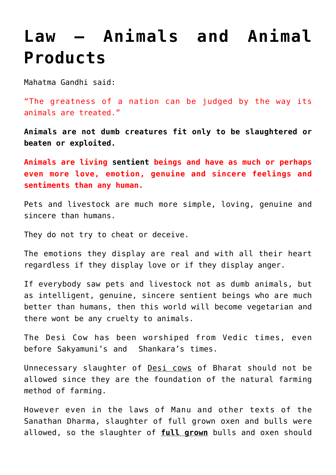## **[Law – Animals and Animal](https://aryadharma.world/laws/details-of-the-law/law-environment/law-animals-and-animal-products/) [Products](https://aryadharma.world/laws/details-of-the-law/law-environment/law-animals-and-animal-products/)**

[Mahatma Gandhi](https://en.wikipedia.org/wiki/Mahatma_Gandhi) said:

"The greatness of a nation can be judged by the way its animals are treated."

**Animals are not dumb creatures fit only to be slaughtered or beaten or exploited.** 

**Animals are living [sentient](https://en.wikipedia.org/wiki/Sentience) beings and have as much or perhaps even more love, emotion, genuine and sincere feelings and sentiments than any human.**

Pets and livestock are much more simple, loving, genuine and sincere than humans.

They do not try to cheat or deceive.

The emotions they display are real and with all their heart regardless if they display love or if they display anger.

If everybody saw pets and livestock not as dumb animals, but as intelligent, genuine, sincere [sentient](https://en.wikipedia.org/wiki/Sentience) beings who are much better than humans, then this world will become [vegetarian](https://en.wikipedia.org/wiki/Vegetarianism) and there wont be any cruelty to animals.

The [Desi Cow](http://www.tehelka.com/the-desi-cow-almost-extinct/?singlepage=1) has been worshiped from Vedic times, even before [Sakyamuni's](http://en.wikipedia.org/wiki/Gautama_Buddha) and [Shankara's](http://en.wikipedia.org/wiki/Adi_Shankara) times.

Unnecessary slaughter of [Desi cows](http://www.downtoearth.org.in/blog/the-deshi-cow-milk-jinx-45095) of Bharat should not be allowed since they are the foundation of the natural farming method of farming.

However even in the [laws of Manu](http://aryadharma.world/manu/) and other texts of the [Sanathan Dharma](http://aryadharma.world/vedasandupanishads/), slaughter of full grown oxen and bulls were allowed, so the slaughter of **full grown** bulls and oxen should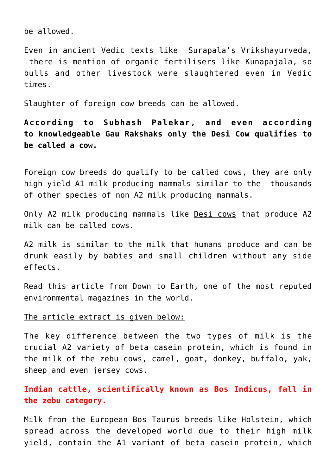be allowed.

Even in ancient [Vedic](https://en.wikipedia.org/wiki/Vedas) texts like Surapala's Vrikshayurveda, there is mention of organic fertilisers like [Kunapajala,](http://asianagrihistory.org/articles/YL-Nene.pdf) so bulls and other livestock were slaughtered even in [Vedic](https://en.wikipedia.org/wiki/Vedas) times.

Slaughter of foreign cow breeds can be allowed.

**According to [Subhash Palekar](http://palekarzerobudgetspiritualfarming.org/), and [even according](http://www.indiatimes.com/news/india/not-all-cows-gau-mata-only-indian-breeds-are-says-gujarat-cow-protection-group-257963.html) [to](http://www.indiatimes.com/news/india/not-all-cows-gau-mata-only-indian-breeds-are-says-gujarat-cow-protection-group-257963.html) knowledgeable [Gau Rakshaks](https://en.wikipedia.org/wiki/Cow_protection_movement) only the Desi Cow qualifies to be called a cow.** 

Foreign cow breeds do qualify to be called cows, they are only high yield A1 milk producing mammals similar to the thousands of other species of non [A2 milk](http://www.downtoearth.org.in/blog/the-deshi-cow-milk-jinx-45095) producing mammals.

Only A2 milk producing mammals like [Desi cows](http://www.downtoearth.org.in/blog/the-deshi-cow-milk-jinx-45095) that produce [A2](https://en.wikipedia.org/wiki/A2_milk) [milk](https://en.wikipedia.org/wiki/A2_milk) can be called cows.

[A2 milk](https://en.wikipedia.org/wiki/A2_milk) is similar to the milk that humans produce and can be drunk easily by babies and small children without any side effects.

[Read this article](http://www.downtoearth.org.in/blog/the-deshi-cow-milk-jinx-45095) from [Down to Earth,](http://www.downtoearth.org.in) one of the most reputed environmental magazines in the world.

## The article extract is given below:

The key difference between the two types of milk is the crucial [A2 variety of beta casein](https://en.wikipedia.org/wiki/A2_milk) protein, which is found in the milk of the zebu cows, camel, goat, donkey, buffalo, yak, sheep and even jersey cows.

## **Indian cattle, scientifically known as Bos Indicus, fall in the zebu category.**

Milk from the European Bos Taurus breeds like Holstein, which spread across the developed world due to their high milk yield, contain the A1 variant of beta casein protein, which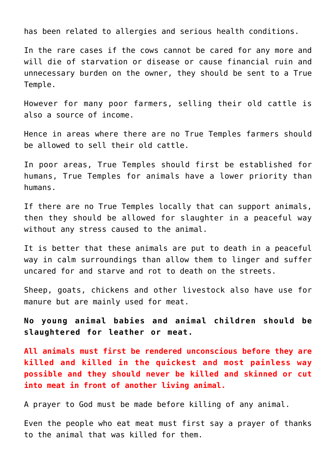has been related to allergies and serious health conditions.

In the rare cases if the cows cannot be cared for any more and will die of starvation or disease or cause financial ruin and unnecessary burden on the owner, they should be sent to a [True](http://aryadharma.world/truetemples/) [Temple.](http://aryadharma.world/truetemples/)

However for many poor farmers, selling their old cattle is also a source of income.

Hence in areas where there are no [True Temples](http://aryadharma.world/truetemples/) farmers should be allowed to sell their old cattle.

In poor areas, [True Temples](http://aryadharma.world/truetemples/) should first be established for humans, True Temples for animals have a lower priority than humans.

If there are no [True Temples](http://aryadharma.world/truetemples/) locally that can support animals, then they should be allowed for slaughter in a peaceful way without any stress caused to the animal.

It is better that these animals are put to death in a peaceful way in calm surroundings than allow them to linger and suffer uncared for and starve and rot to death on the streets.

Sheep, goats, chickens and other livestock also have use for manure but are mainly used for meat.

**No young animal babies and animal children should be slaughtered for leather or meat.**

**All animals must first be rendered unconscious before they are killed and killed in the quickest and most painless way possible and they should never be killed and skinned or cut into meat in front of another living animal.** 

A prayer to [God](http://aryadharma.world/brahman/) must be made before killing of any animal.

Even the people who eat meat must first say a prayer of thanks to the animal that was killed for them.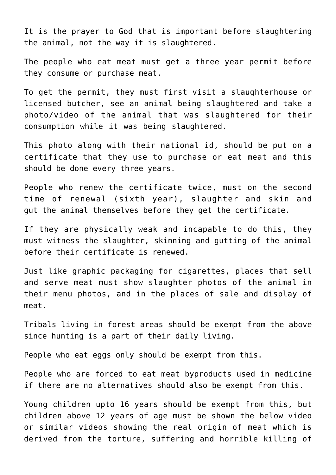It is the prayer to [God](http://aryadharma.world/brahman/) that is important before slaughtering the animal, not the way it is slaughtered.

The people who eat meat must get a three year permit before they consume or purchase meat.

To get the permit, they must first visit a slaughterhouse or licensed butcher, see an animal being slaughtered and take a photo/video of the animal that was slaughtered for their consumption while it was being slaughtered.

This photo along with their national id, should be put on a certificate that they use to purchase or eat meat and this should be done every three years.

People who renew the certificate twice, must on the second time of renewal (sixth year), slaughter and skin and gut the animal themselves before they get the certificate.

If they are physically weak and incapable to do this, they must witness the slaughter, skinning and gutting of the animal before their certificate is renewed.

Just like [graphic packaging for cigarettes](https://goo.gl/7FHZSb), places that sell and serve meat must show slaughter photos of the animal in their menu photos, and in the places of sale and display of meat.

Tribals living in forest areas should be exempt from the above since [hunting](http://aryadharma.world/law-hunting/) is a part of their daily living.

People who eat eggs only should be exempt from this.

People who are forced to eat meat byproducts used in medicine if there are no alternatives should also be exempt from this.

Young children upto 16 years should be exempt from this, but children above 12 years of age must be shown the below video or similar videos showing the real origin of meat which is derived from the torture, suffering and horrible killing of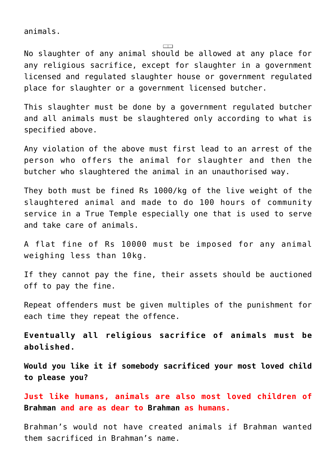animals.

No slaughter of any animal should be allowed at any place for any religious sacrifice, except for slaughter in a government licensed and regulated slaughter house or government regulated place for slaughter or a government licensed butcher.

This slaughter must be done by a government regulated butcher and all animals must be slaughtered only according to what is specified above.

Any violation of the above must first lead to an arrest of the person who offers the animal for slaughter and then the butcher who slaughtered the animal in an unauthorised way.

They both must be fined Rs 1000/kg of the live weight of the slaughtered animal and made to do 100 hours of community service in a [True Temple](http://aryadharma.world/concepts/truetemples/) especially one that is used to serve and take care of animals.

A flat fine of Rs 10000 must be imposed for any animal weighing less than 10kg.

If they cannot pay the fine, their assets should be auctioned off to pay the fine.

Repeat offenders must be given multiples of the punishment for each time they repeat the offence.

**Eventually all religious sacrifice of animals must be abolished.**

**Would you like it if somebody sacrificed your most loved child to please you?**

**Just like humans, animals are also most loved children of [Brahman](http://aryadharma.world/brahman/) and are as dear to [Brahman](http://aryadharma.world/brahman/) as humans.**

Brahman's would not have created animals if Brahman wanted them sacrificed in Brahman's name.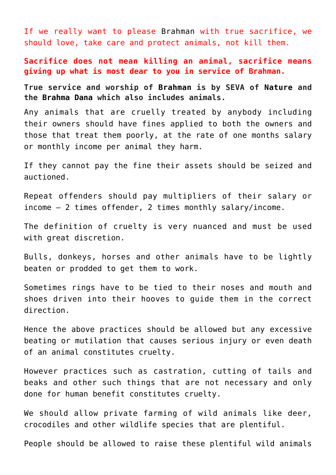If we really want to please [Brahman w](http://aryadharma.world/brahman/)ith true sacrifice, we should love, take care and protect animals, not kill them.

**Sacrifice does not mean killing an animal, sacrifice means giving up what is most dear to you in service of Brahman.**

**True service and worship of [Brahman](http://aryadharma.world/concepts/brahman/) is by SEVA of [Nature](http://aryadharma.world/articles/nature/) and the [Brahma Dana](http://aryadharma.world/concepts/brahman/brahmadana/) which also includes animals.**

Any animals that are cruelly treated by anybody including their owners should have fines applied to both the owners and those that treat them poorly, at the rate of one months salary or monthly income per animal they harm.

If they cannot pay the fine their assets should be seized and auctioned.

Repeat offenders should pay multipliers of their salary or income — 2 times offender, 2 times monthly salary/income.

The definition of cruelty is very nuanced and must be used with great discretion.

Bulls, donkeys, horses and other animals have to be lightly beaten or prodded to get them to work.

Sometimes rings have to be tied to their noses and mouth and shoes driven into their hooves to guide them in the correct direction.

Hence the above practices should be allowed but any excessive beating or mutilation that causes serious injury or even death of an animal constitutes cruelty.

However practices such as castration, cutting of tails and beaks and other such things that are not necessary and only done for human benefit constitutes cruelty.

We should allow private farming of wild animals like deer, crocodiles and other wildlife species that are plentiful.

People should be allowed to raise these plentiful wild animals